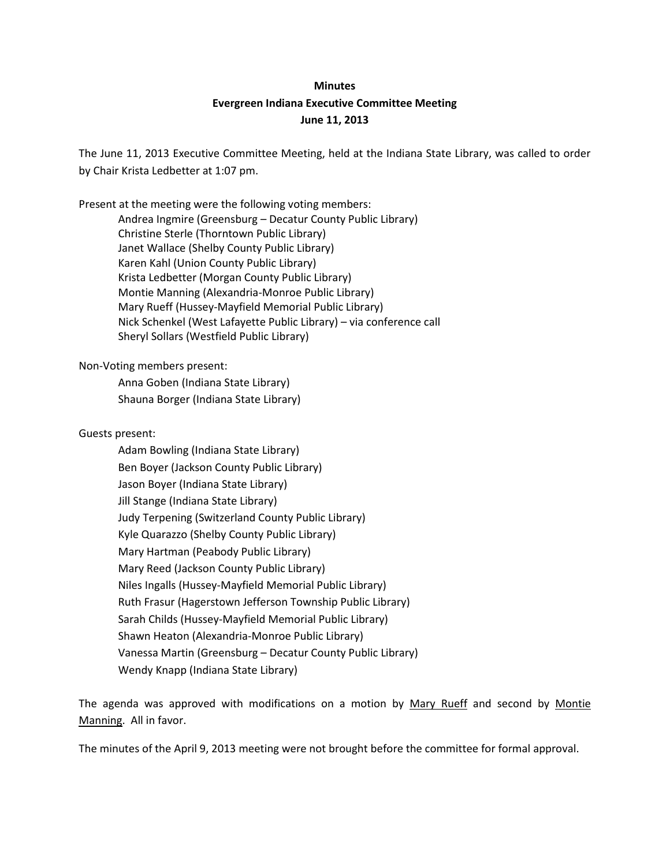# **Minutes Evergreen Indiana Executive Committee Meeting June 11, 2013**

The June 11, 2013 Executive Committee Meeting, held at the Indiana State Library, was called to order by Chair Krista Ledbetter at 1:07 pm.

Present at the meeting were the following voting members: Andrea Ingmire (Greensburg – Decatur County Public Library) Christine Sterle (Thorntown Public Library) Janet Wallace (Shelby County Public Library) Karen Kahl (Union County Public Library) Krista Ledbetter (Morgan County Public Library) Montie Manning (Alexandria-Monroe Public Library) Mary Rueff (Hussey-Mayfield Memorial Public Library) Nick Schenkel (West Lafayette Public Library) – via conference call Sheryl Sollars (Westfield Public Library)

Non-Voting members present:

Anna Goben (Indiana State Library) Shauna Borger (Indiana State Library)

Guests present:

Adam Bowling (Indiana State Library) Ben Boyer (Jackson County Public Library) Jason Boyer (Indiana State Library) Jill Stange (Indiana State Library) Judy Terpening (Switzerland County Public Library) Kyle Quarazzo (Shelby County Public Library) Mary Hartman (Peabody Public Library) Mary Reed (Jackson County Public Library) Niles Ingalls (Hussey-Mayfield Memorial Public Library) Ruth Frasur (Hagerstown Jefferson Township Public Library) Sarah Childs (Hussey-Mayfield Memorial Public Library) Shawn Heaton (Alexandria-Monroe Public Library) Vanessa Martin (Greensburg – Decatur County Public Library) Wendy Knapp (Indiana State Library)

The agenda was approved with modifications on a motion by Mary Rueff and second by Montie Manning. All in favor.

The minutes of the April 9, 2013 meeting were not brought before the committee for formal approval.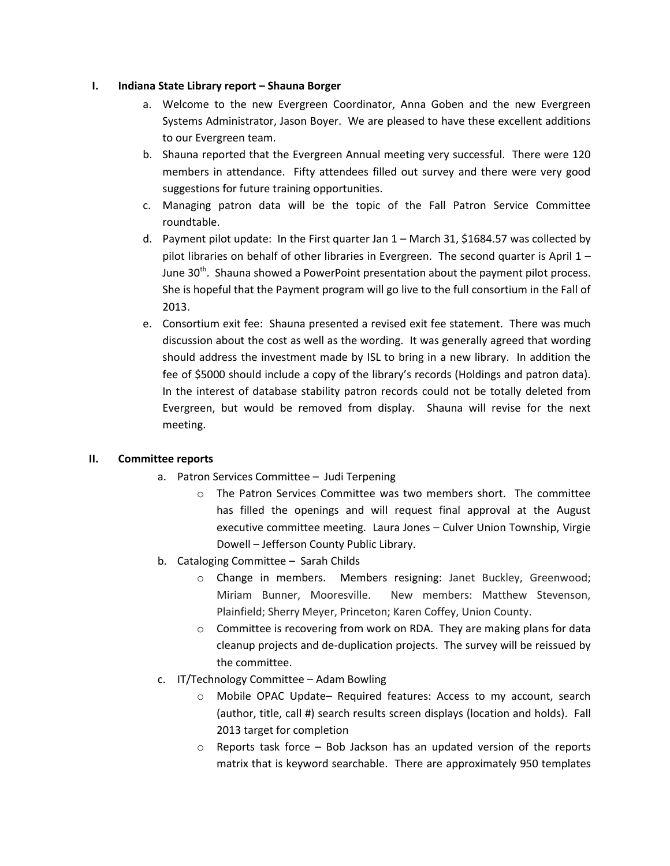### **I. Indiana State Library report – Shauna Borger**

- a. Welcome to the new Evergreen Coordinator, Anna Goben and the new Evergreen Systems Administrator, Jason Boyer. We are pleased to have these excellent additions to our Evergreen team.
- b. Shauna reported that the Evergreen Annual meeting very successful. There were 120 members in attendance. Fifty attendees filled out survey and there were very good suggestions for future training opportunities.
- c. Managing patron data will be the topic of the Fall Patron Service Committee roundtable.
- d. Payment pilot update: In the First quarter Jan 1 March 31, \$1684.57 was collected by pilot libraries on behalf of other libraries in Evergreen. The second quarter is April  $1 -$ June 30<sup>th</sup>. Shauna showed a PowerPoint presentation about the payment pilot process. She is hopeful that the Payment program will go live to the full consortium in the Fall of 2013.
- e. Consortium exit fee: Shauna presented a revised exit fee statement. There was much discussion about the cost as well as the wording. It was generally agreed that wording should address the investment made by ISL to bring in a new library. In addition the fee of \$5000 should include a copy of the library's records (Holdings and patron data). In the interest of database stability patron records could not be totally deleted from Evergreen, but would be removed from display. Shauna will revise for the next meeting.

## **II. Committee reports**

- a. Patron Services Committee Judi Terpening
	- o The Patron Services Committee was two members short. The committee has filled the openings and will request final approval at the August executive committee meeting. Laura Jones – Culver Union Township, Virgie Dowell – Jefferson County Public Library.
- b. Cataloging Committee Sarah Childs
	- o Change in members. Members resigning: Janet Buckley, Greenwood; Miriam Bunner, Mooresville. New members: Matthew Stevenson, Plainfield; Sherry Meyer, Princeton; Karen Coffey, Union County.
	- o Committee is recovering from work on RDA. They are making plans for data cleanup projects and de-duplication projects. The survey will be reissued by the committee.
- c. IT/Technology Committee Adam Bowling
	- o Mobile OPAC Update– Required features: Access to my account, search (author, title, call #) search results screen displays (location and holds). Fall 2013 target for completion
	- $\circ$  Reports task force Bob Jackson has an updated version of the reports matrix that is keyword searchable. There are approximately 950 templates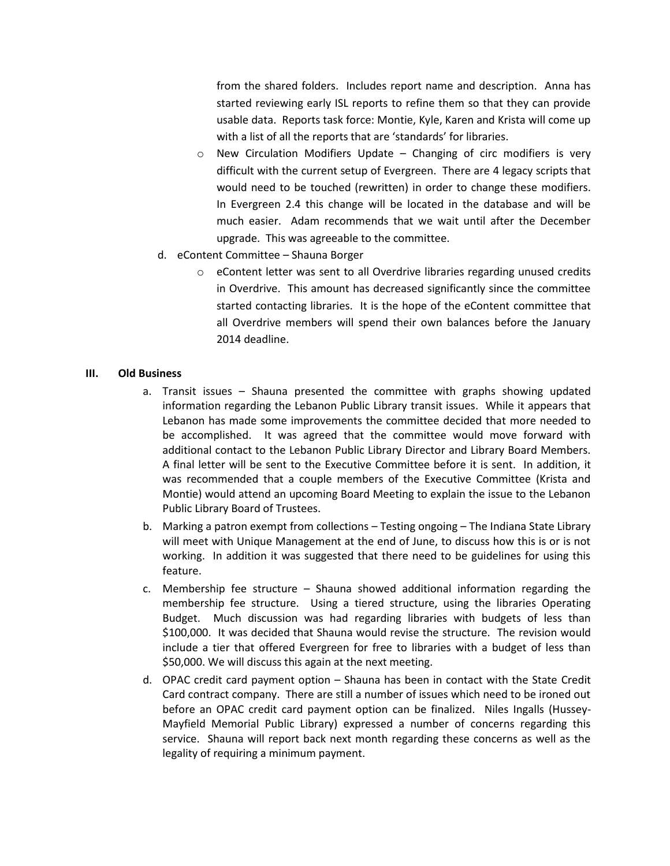from the shared folders. Includes report name and description. Anna has started reviewing early ISL reports to refine them so that they can provide usable data. Reports task force: Montie, Kyle, Karen and Krista will come up with a list of all the reports that are 'standards' for libraries.

- o New Circulation Modifiers Update Changing of circ modifiers is very difficult with the current setup of Evergreen. There are 4 legacy scripts that would need to be touched (rewritten) in order to change these modifiers. In Evergreen 2.4 this change will be located in the database and will be much easier. Adam recommends that we wait until after the December upgrade. This was agreeable to the committee.
- d. eContent Committee Shauna Borger
	- $\circ$  eContent letter was sent to all Overdrive libraries regarding unused credits in Overdrive. This amount has decreased significantly since the committee started contacting libraries. It is the hope of the eContent committee that all Overdrive members will spend their own balances before the January 2014 deadline.

#### **III. Old Business**

- a. Transit issues Shauna presented the committee with graphs showing updated information regarding the Lebanon Public Library transit issues. While it appears that Lebanon has made some improvements the committee decided that more needed to be accomplished. It was agreed that the committee would move forward with additional contact to the Lebanon Public Library Director and Library Board Members. A final letter will be sent to the Executive Committee before it is sent. In addition, it was recommended that a couple members of the Executive Committee (Krista and Montie) would attend an upcoming Board Meeting to explain the issue to the Lebanon Public Library Board of Trustees.
- b. Marking a patron exempt from collections Testing ongoing The Indiana State Library will meet with Unique Management at the end of June, to discuss how this is or is not working. In addition it was suggested that there need to be guidelines for using this feature.
- c. Membership fee structure Shauna showed additional information regarding the membership fee structure. Using a tiered structure, using the libraries Operating Budget. Much discussion was had regarding libraries with budgets of less than \$100,000. It was decided that Shauna would revise the structure. The revision would include a tier that offered Evergreen for free to libraries with a budget of less than \$50,000. We will discuss this again at the next meeting.
- d. OPAC credit card payment option Shauna has been in contact with the State Credit Card contract company. There are still a number of issues which need to be ironed out before an OPAC credit card payment option can be finalized. Niles Ingalls (Hussey-Mayfield Memorial Public Library) expressed a number of concerns regarding this service. Shauna will report back next month regarding these concerns as well as the legality of requiring a minimum payment.